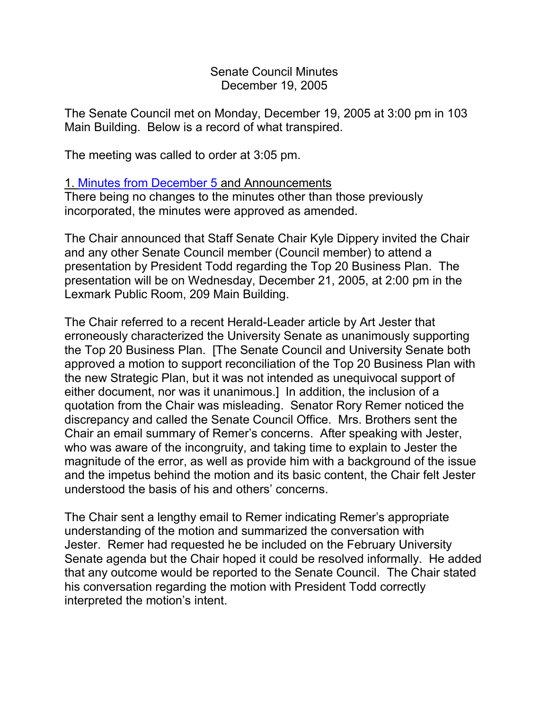Senate Council Minutes December 19, 2005

The Senate Council met on Monday, December 19, 2005 at 3:00 pm in 103 Main Building. Below is a record of what transpired.

The meeting was called to order at 3:05 pm.

## 1. [Minutes from December 5](http://www.uky.edu/USC/New/SCMinutes/2005-2006/SC%20Minutes%20December%205%202005%20FINAL.htm) and Announcements

There being no changes to the minutes other than those previously incorporated, the minutes were approved as amended.

The Chair announced that Staff Senate Chair Kyle Dippery invited the Chair and any other Senate Council member (Council member) to attend a presentation by President Todd regarding the Top 20 Business Plan. The presentation will be on Wednesday, December 21, 2005, at 2:00 pm in the Lexmark Public Room, 209 Main Building.

The Chair referred to a recent Herald-Leader article by Art Jester that erroneously characterized the University Senate as unanimously supporting the Top 20 Business Plan. [The Senate Council and University Senate both approved a motion to support reconciliation of the Top 20 Business Plan with the new Strategic Plan, but it was not intended as unequivocal support of either document, nor was it unanimous.] In addition, the inclusion of a quotation from the Chair was misleading. Senator Rory Remer noticed the discrepancy and called the Senate Council Office. Mrs. Brothers sent the Chair an email summary of Remer's concerns. After speaking with Jester, who was aware of the incongruity, and taking time to explain to Jester the magnitude of the error, as well as provide him with a background of the issue and the impetus behind the motion and its basic content, the Chair felt Jester understood the basis of his and others' concerns.

The Chair sent a lengthy email to Remer indicating Remer's appropriate understanding of the motion and summarized the conversation with Jester. Remer had requested he be included on the February University Senate agenda but the Chair hoped it could be resolved informally. He added that any outcome would be reported to the Senate Council. The Chair stated his conversation regarding the motion with President Todd correctly interpreted the motion's intent.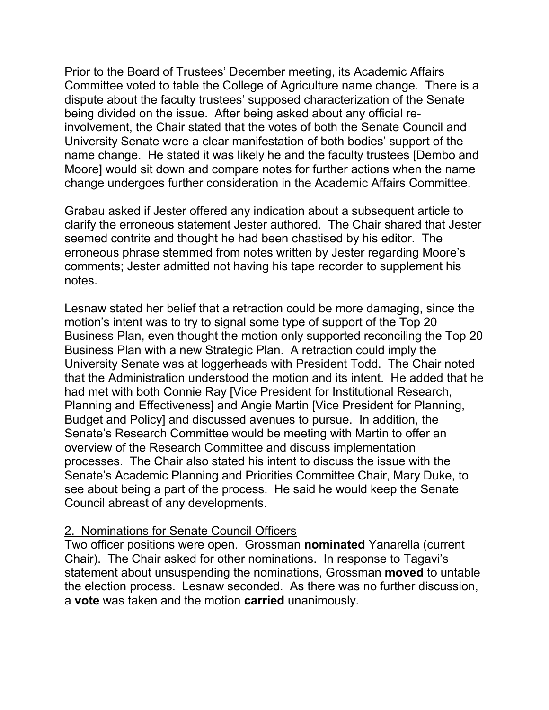Prior to the Board of Trustees' December meeting, its Academic Affairs Committee voted to table the College of Agriculture name change. There is a dispute about the faculty trustees' supposed characterization of the Senate being divided on the issue. After being asked about any official reinvolvement, the Chair stated that the votes of both the Senate Council and University Senate were a clear manifestation of both bodies' support of the name change. He stated it was likely he and the faculty trustees [Dembo and Moore] would sit down and compare notes for further actions when the name change undergoes further consideration in the Academic Affairs Committee.

Grabau asked if Jester offered any indication about a subsequent article to clarify the erroneous statement Jester authored. The Chair shared that Jester seemed contrite and thought he had been chastised by his editor. The erroneous phrase stemmed from notes written by Jester regarding Moore's comments; Jester admitted not having his tape recorder to supplement his notes.

Lesnaw stated her belief that a retraction could be more damaging, since the motion's intent was to try to signal some type of support of the Top 20 Business Plan, even thought the motion only supported reconciling the Top 20 Business Plan with a new Strategic Plan. A retraction could imply the University Senate was at loggerheads with President Todd. The Chair noted that the Administration understood the motion and its intent. He added that he had met with both Connie Ray [Vice President for Institutional Research, Planning and Effectiveness] and Angie Martin [Vice President for Planning, Budget and Policy] and discussed avenues to pursue. In addition, the Senate's Research Committee would be meeting with Martin to offer an overview of the Research Committee and discuss implementation processes. The Chair also stated his intent to discuss the issue with the Senate's Academic Planning and Priorities Committee Chair, Mary Duke, to see about being a part of the process. He said he would keep the Senate Council abreast of any developments.

## 2. Nominations for Senate Council Officers

Two officer positions were open. Grossman **nominated** Yanarella (current Chair). The Chair asked for other nominations. In response to Tagavi's statement about unsuspending the nominations, Grossman **moved** to untable the election process. Lesnaw seconded. As there was no further discussion, a **vote** was taken and the motion **carried** unanimously.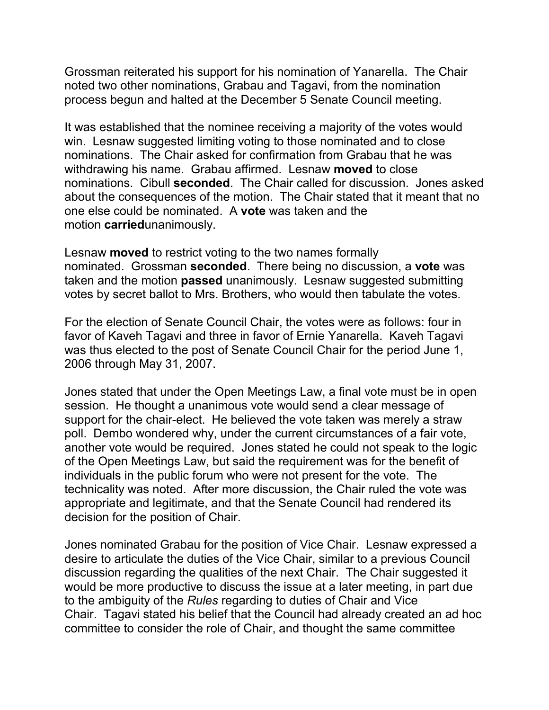Grossman reiterated his support for his nomination of Yanarella. The Chair noted two other nominations, Grabau and Tagavi, from the nomination process begun and halted at the December 5 Senate Council meeting.

It was established that the nominee receiving a majority of the votes would win. Lesnaw suggested limiting voting to those nominated and to close nominations. The Chair asked for confirmation from Grabau that he was withdrawing his name. Grabau affirmed. Lesnaw **moved** to close nominations. Cibull **seconded**. The Chair called for discussion. Jones asked about the consequences of the motion. The Chair stated that it meant that no one else could be nominated. A **vote** was taken and the motion **carried**unanimously.

Lesnaw **moved** to restrict voting to the two names formally nominated. Grossman **seconded**. There being no discussion, a **vote** was taken and the motion **passed** unanimously. Lesnaw suggested submitting votes by secret ballot to Mrs. Brothers, who would then tabulate the votes.

For the election of Senate Council Chair, the votes were as follows: four in favor of Kaveh Tagavi and three in favor of Ernie Yanarella. Kaveh Tagavi was thus elected to the post of Senate Council Chair for the period June 1, 2006 through May 31, 2007.

Jones stated that under the Open Meetings Law, a final vote must be in open session. He thought a unanimous vote would send a clear message of support for the chair-elect. He believed the vote taken was merely a straw poll. Dembo wondered why, under the current circumstances of a fair vote, another vote would be required. Jones stated he could not speak to the logic of the Open Meetings Law, but said the requirement was for the benefit of individuals in the public forum who were not present for the vote. The technicality was noted. After more discussion, the Chair ruled the vote was appropriate and legitimate, and that the Senate Council had rendered its decision for the position of Chair.

Jones nominated Grabau for the position of Vice Chair. Lesnaw expressed a desire to articulate the duties of the Vice Chair, similar to a previous Council discussion regarding the qualities of the next Chair. The Chair suggested it would be more productive to discuss the issue at a later meeting, in part due to the ambiguity of the *Rules* regarding to duties of Chair and Vice Chair. Tagavi stated his belief that the Council had already created an ad hoc committee to consider the role of Chair, and thought the same committee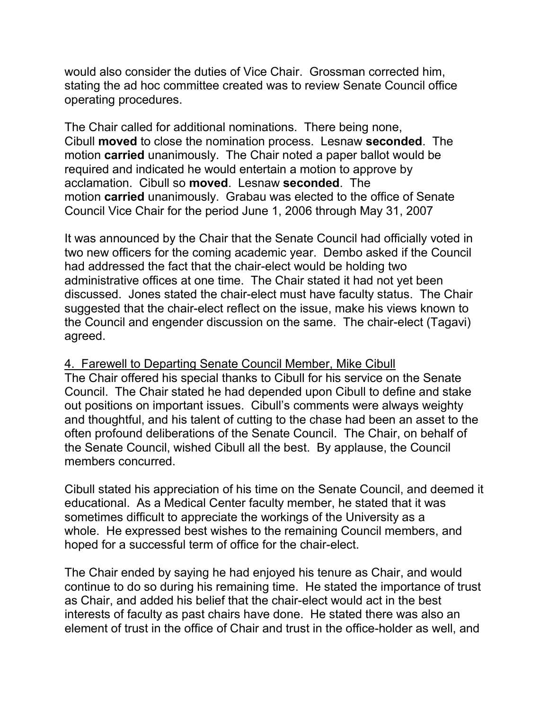would also consider the duties of Vice Chair. Grossman corrected him, stating the ad hoc committee created was to review Senate Council office operating procedures.

The Chair called for additional nominations. There being none, Cibull **moved** to close the nomination process. Lesnaw **seconded**. The motion **carried** unanimously. The Chair noted a paper ballot would be required and indicated he would entertain a motion to approve by acclamation. Cibull so **moved**. Lesnaw **seconded**. The motion **carried** unanimously. Grabau was elected to the office of Senate Council Vice Chair for the period June 1, 2006 through May 31, 2007

It was announced by the Chair that the Senate Council had officially voted in two new officers for the coming academic year. Dembo asked if the Council had addressed the fact that the chair-elect would be holding two administrative offices at one time. The Chair stated it had not yet been discussed. Jones stated the chair-elect must have faculty status. The Chair suggested that the chair-elect reflect on the issue, make his views known to the Council and engender discussion on the same. The chair-elect (Tagavi) agreed.

## 4. Farewell to Departing Senate Council Member, Mike Cibull The Chair offered his special thanks to Cibull for his service on the Senate

Council. The Chair stated he had depended upon Cibull to define and stake out positions on important issues. Cibull's comments were always weighty and thoughtful, and his talent of cutting to the chase had been an asset to the often profound deliberations of the Senate Council. The Chair, on behalf of the Senate Council, wished Cibull all the best. By applause, the Council members concurred.

Cibull stated his appreciation of his time on the Senate Council, and deemed it educational. As a Medical Center faculty member, he stated that it was sometimes difficult to appreciate the workings of the University as a whole. He expressed best wishes to the remaining Council members, and hoped for a successful term of office for the chair-elect.

The Chair ended by saying he had enjoyed his tenure as Chair, and would continue to do so during his remaining time. He stated the importance of trust as Chair, and added his belief that the chair-elect would act in the best interests of faculty as past chairs have done. He stated there was also an element of trust in the office of Chair and trust in the office-holder as well, and